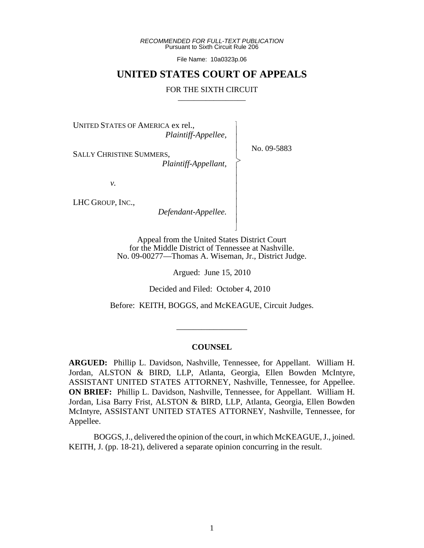*RECOMMENDED FOR FULL-TEXT PUBLICATION* Pursuant to Sixth Circuit Rule 206

File Name: 10a0323p.06

## **UNITED STATES COURT OF APPEALS**

### FOR THE SIXTH CIRCUIT

 $\overline{\phantom{a}}$ - - - > , - - - - - - - N

UNITED STATES OF AMERICA ex rel.,

*Plaintiff-Appellee,*

SALLY CHRISTINE SUMMERS,

 *Plaintiff-Appellant,*

*v.*

LHC GROUP, INC.,

 *Defendant-Appellee.*

Appeal from the United States District Court for the Middle District of Tennessee at Nashville. No. 09-00277—Thomas A. Wiseman, Jr., District Judge.

Argued: June 15, 2010

Decided and Filed: October 4, 2010

Before: KEITH, BOGGS, and McKEAGUE, Circuit Judges.

\_\_\_\_\_\_\_\_\_\_\_\_\_\_\_\_\_

### **COUNSEL**

**ARGUED:** Phillip L. Davidson, Nashville, Tennessee, for Appellant. William H. Jordan, ALSTON & BIRD, LLP, Atlanta, Georgia, Ellen Bowden McIntyre, ASSISTANT UNITED STATES ATTORNEY, Nashville, Tennessee, for Appellee. **ON BRIEF:** Phillip L. Davidson, Nashville, Tennessee, for Appellant. William H. Jordan, Lisa Barry Frist, ALSTON & BIRD, LLP, Atlanta, Georgia, Ellen Bowden McIntyre, ASSISTANT UNITED STATES ATTORNEY, Nashville, Tennessee, for Appellee.

BOGGS, J., delivered the opinion of the court, in which McKEAGUE, J., joined. KEITH, J. (pp. 18-21), delivered a separate opinion concurring in the result.

No. 09-5883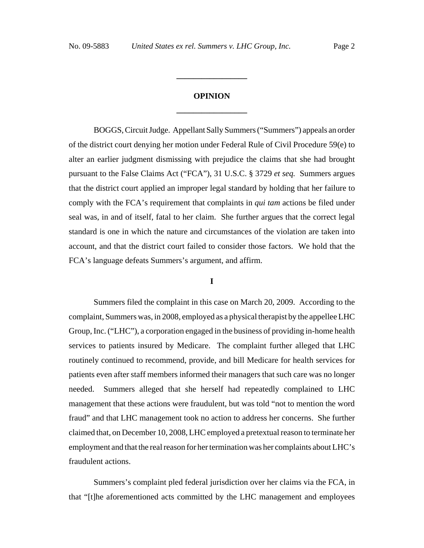# **OPINION \_\_\_\_\_\_\_\_\_\_\_\_\_\_\_\_\_**

**\_\_\_\_\_\_\_\_\_\_\_\_\_\_\_\_\_**

BOGGS, Circuit Judge. Appellant Sally Summers ("Summers") appeals an order of the district court denying her motion under Federal Rule of Civil Procedure 59(e) to alter an earlier judgment dismissing with prejudice the claims that she had brought pursuant to the False Claims Act ("FCA"), 31 U.S.C. § 3729 *et seq.* Summers argues that the district court applied an improper legal standard by holding that her failure to comply with the FCA's requirement that complaints in *qui tam* actions be filed under seal was, in and of itself, fatal to her claim. She further argues that the correct legal standard is one in which the nature and circumstances of the violation are taken into account, and that the district court failed to consider those factors. We hold that the FCA's language defeats Summers's argument, and affirm.

### **I**

Summers filed the complaint in this case on March 20, 2009. According to the complaint, Summers was, in 2008, employed as a physical therapist by the appellee LHC Group, Inc. ("LHC"), a corporation engaged in the business of providing in-home health services to patients insured by Medicare. The complaint further alleged that LHC routinely continued to recommend, provide, and bill Medicare for health services for patients even after staff members informed their managers that such care was no longer needed. Summers alleged that she herself had repeatedly complained to LHC management that these actions were fraudulent, but was told "not to mention the word fraud" and that LHC management took no action to address her concerns. She further claimed that, on December 10, 2008, LHC employed a pretextual reason to terminate her employment and that the real reason for her termination was her complaints about LHC's fraudulent actions.

Summers's complaint pled federal jurisdiction over her claims via the FCA, in that "[t]he aforementioned acts committed by the LHC management and employees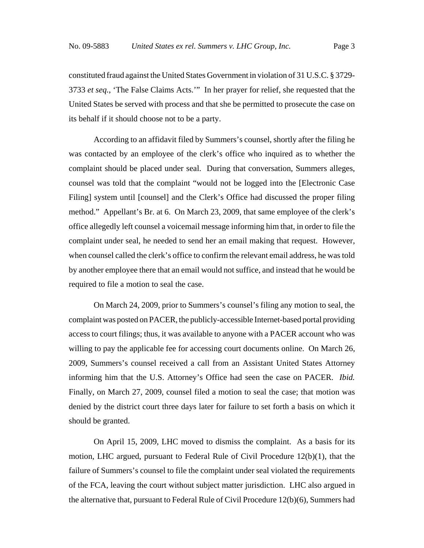constituted fraud against the United States Government in violation of 31 U.S.C. § 3729- 3733 *et seq.*, 'The False Claims Acts.'" In her prayer for relief, she requested that the United States be served with process and that she be permitted to prosecute the case on its behalf if it should choose not to be a party.

According to an affidavit filed by Summers's counsel, shortly after the filing he was contacted by an employee of the clerk's office who inquired as to whether the complaint should be placed under seal. During that conversation, Summers alleges, counsel was told that the complaint "would not be logged into the [Electronic Case Filing] system until [counsel] and the Clerk's Office had discussed the proper filing method." Appellant's Br. at 6. On March 23, 2009, that same employee of the clerk's office allegedly left counsel a voicemail message informing him that, in order to file the complaint under seal, he needed to send her an email making that request. However, when counsel called the clerk's office to confirm the relevant email address, he was told by another employee there that an email would not suffice, and instead that he would be required to file a motion to seal the case.

On March 24, 2009, prior to Summers's counsel's filing any motion to seal, the complaint was posted on PACER, the publicly-accessible Internet-based portal providing access to court filings; thus, it was available to anyone with a PACER account who was willing to pay the applicable fee for accessing court documents online. On March 26, 2009, Summers's counsel received a call from an Assistant United States Attorney informing him that the U.S. Attorney's Office had seen the case on PACER. *Ibid.* Finally, on March 27, 2009, counsel filed a motion to seal the case; that motion was denied by the district court three days later for failure to set forth a basis on which it should be granted.

On April 15, 2009, LHC moved to dismiss the complaint. As a basis for its motion, LHC argued, pursuant to Federal Rule of Civil Procedure 12(b)(1), that the failure of Summers's counsel to file the complaint under seal violated the requirements of the FCA, leaving the court without subject matter jurisdiction. LHC also argued in the alternative that, pursuant to Federal Rule of Civil Procedure 12(b)(6), Summers had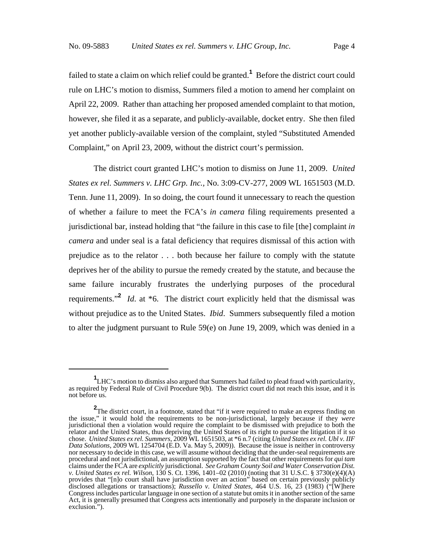failed to state a claim on which relief could be granted.**<sup>1</sup>** Before the district court could rule on LHC's motion to dismiss, Summers filed a motion to amend her complaint on April 22, 2009. Rather than attaching her proposed amended complaint to that motion, however, she filed it as a separate, and publicly-available, docket entry. She then filed yet another publicly-available version of the complaint, styled "Substituted Amended Complaint," on April 23, 2009, without the district court's permission.

The district court granted LHC's motion to dismiss on June 11, 2009. *United States ex rel. Summers v. LHC Grp. Inc.,* No. 3:09-CV-277, 2009 WL 1651503 (M.D. Tenn. June 11, 2009). In so doing, the court found it unnecessary to reach the question of whether a failure to meet the FCA's *in camera* filing requirements presented a jurisdictional bar, instead holding that "the failure in this case to file [the] complaint *in camera* and under seal is a fatal deficiency that requires dismissal of this action with prejudice as to the relator . . . both because her failure to comply with the statute deprives her of the ability to pursue the remedy created by the statute, and because the same failure incurably frustrates the underlying purposes of the procedural requirements."**<sup>2</sup>** *Id*. at \*6. The district court explicitly held that the dismissal was without prejudice as to the United States. *Ibid*. Summers subsequently filed a motion to alter the judgment pursuant to Rule 59(e) on June 19, 2009, which was denied in a

**<sup>1</sup>** LHC's motion to dismiss also argued that Summers had failed to plead fraud with particularity, as required by Federal Rule of Civil Procedure 9(b). The district court did not reach this issue, and it is not before us.

**<sup>2</sup>** The district court, in a footnote, stated that "if it were required to make an express finding on the issue," it would hold the requirements to be non-jurisdictional, largely because if they *were* jurisdictional then a violation would require the complaint to be dismissed with prejudice to both the relator and the United States, thus depriving the United States of its right to pursue the litigation if it so chose. *United States ex rel. Summers*, 2009 WL 1651503, at \*6 n.7 (citing *United States ex rel. Ubl v. IIF Data Solutions*, 2009 WL 1254704 (E.D. Va. May 5, 2009)). Because the issue is neither in controversy nor necessary to decide in this case, we will assume without deciding that the under-seal requirements are procedural and not jurisdictional, an assumption supported by the fact that other requirements for *qui tam* claims under the FCA are *explicitly* jurisdictional. *See Graham County Soil and Water Conservation Dist. v. United States ex rel. Wilson*, 130 S. Ct. 1396, 1401–02 (2010) (noting that 31 U.S.C. § 3730(e)(4)(A) provides that "[n]o court shall have jurisdiction over an action" based on certain previously publicly disclosed allegations or transactions); *Russello v. United States*, 464 U.S. 16, 23 (1983) ("[W]here Congress includes particular language in one section of a statute but omits it in another section of the same Act, it is generally presumed that Congress acts intentionally and purposely in the disparate inclusion or exclusion.").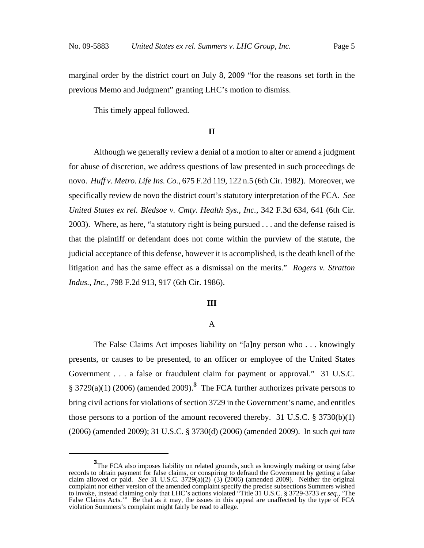marginal order by the district court on July 8, 2009 "for the reasons set forth in the previous Memo and Judgment" granting LHC's motion to dismiss.

This timely appeal followed.

### **II**

Although we generally review a denial of a motion to alter or amend a judgment for abuse of discretion, we address questions of law presented in such proceedings de novo. *Huff v. Metro. Life Ins. Co.*, 675 F.2d 119, 122 n.5 (6th Cir. 1982). Moreover, we specifically review de novo the district court's statutory interpretation of the FCA. *See United States ex rel. Bledsoe v. Cmty. Health Sys., Inc.*, 342 F.3d 634, 641 (6th Cir. 2003). Where, as here, "a statutory right is being pursued . . . and the defense raised is that the plaintiff or defendant does not come within the purview of the statute, the judicial acceptance of this defense, however it is accomplished, is the death knell of the litigation and has the same effect as a dismissal on the merits." *Rogers v. Stratton Indus., Inc.*, 798 F.2d 913, 917 (6th Cir. 1986).

#### **III**

### A

The False Claims Act imposes liability on "[a]ny person who . . . knowingly presents, or causes to be presented, to an officer or employee of the United States Government . . . a false or fraudulent claim for payment or approval." 31 U.S.C. § 3729(a)(1) (2006) (amended 2009).**<sup>3</sup>** The FCA further authorizes private persons to bring civil actions for violations of section 3729 in the Government's name, and entitles those persons to a portion of the amount recovered thereby. 31 U.S.C.  $\S 3730(b)(1)$ (2006) (amended 2009); 31 U.S.C. § 3730(d) (2006) (amended 2009). In such *qui tam*

**<sup>3</sup>**The FCA also imposes liability on related grounds, such as knowingly making or using false records to obtain payment for false claims, or conspiring to defraud the Government by getting a false claim allowed or paid. *See* 31 U.S.C. 3729(a)(2)–(3) (2006) (amended 2009). Neither the original complaint nor either version of the amended complaint specify the precise subsections Summers wished to invoke, instead claiming only that LHC's actions violated "Title 31 U.S.C. § 3729-3733 *et seq.*, 'The False Claims Acts.'" Be that as it may, the issues in this appeal are unaffected by the type of FCA violation Summers's complaint might fairly be read to allege.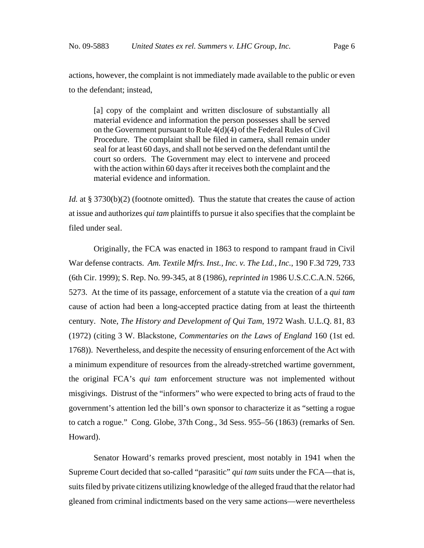actions, however, the complaint is not immediately made available to the public or even to the defendant; instead,

[a] copy of the complaint and written disclosure of substantially all material evidence and information the person possesses shall be served on the Government pursuant to Rule 4(d)(4) of the Federal Rules of Civil Procedure. The complaint shall be filed in camera, shall remain under seal for at least 60 days, and shall not be served on the defendant until the court so orders. The Government may elect to intervene and proceed with the action within 60 days after it receives both the complaint and the material evidence and information.

*Id.* at § 3730(b)(2) (footnote omitted). Thus the statute that creates the cause of action at issue and authorizes *qui tam* plaintiffs to pursue it also specifies that the complaint be filed under seal.

Originally, the FCA was enacted in 1863 to respond to rampant fraud in Civil War defense contracts. *Am. Textile Mfrs. Inst., Inc. v. The Ltd., Inc.*, 190 F.3d 729, 733 (6th Cir. 1999); S. Rep. No. 99-345, at 8 (1986), *reprinted in* 1986 U.S.C.C.A.N. 5266, 5273. At the time of its passage, enforcement of a statute via the creation of a *qui tam* cause of action had been a long-accepted practice dating from at least the thirteenth century. Note, *The History and Development of Qui Tam*, 1972 Wash. U.L.Q. 81, 83 (1972) (citing 3 W. Blackstone, *Commentaries on the Laws of England* 160 (1st ed. 1768)). Nevertheless, and despite the necessity of ensuring enforcement of the Act with a minimum expenditure of resources from the already-stretched wartime government, the original FCA's *qui tam* enforcement structure was not implemented without misgivings. Distrust of the "informers" who were expected to bring acts of fraud to the government's attention led the bill's own sponsor to characterize it as "setting a rogue to catch a rogue." Cong. Globe, 37th Cong., 3d Sess. 955–56 (1863) (remarks of Sen. Howard).

Senator Howard's remarks proved prescient, most notably in 1941 when the Supreme Court decided that so-called "parasitic" *qui tam* suits under the FCA—that is, suits filed by private citizens utilizing knowledge of the alleged fraud that the relator had gleaned from criminal indictments based on the very same actions—were nevertheless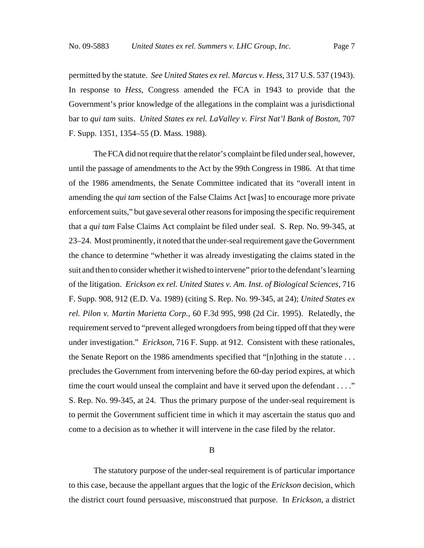permitted by the statute. *See United States ex rel. Marcus v. Hess*, 317 U.S. 537 (1943). In response to *Hess*, Congress amended the FCA in 1943 to provide that the Government's prior knowledge of the allegations in the complaint was a jurisdictional bar to *qui tam* suits. *United States ex rel. LaValley v. First Nat'l Bank of Boston*, 707 F. Supp. 1351, 1354–55 (D. Mass. 1988).

The FCA did not require that the relator's complaint be filed under seal, however, until the passage of amendments to the Act by the 99th Congress in 1986. At that time of the 1986 amendments, the Senate Committee indicated that its "overall intent in amending the *qui tam* section of the False Claims Act [was] to encourage more private enforcement suits," but gave several other reasons for imposing the specific requirement that a *qui tam* False Claims Act complaint be filed under seal. S. Rep. No. 99-345, at 23–24. Most prominently, it noted that the under-seal requirement gave the Government the chance to determine "whether it was already investigating the claims stated in the suit and then to consider whether it wished to intervene" prior to the defendant's learning of the litigation. *Erickson ex rel. United States v. Am. Inst. of Biological Sciences*, 716 F. Supp. 908, 912 (E.D. Va. 1989) (citing S. Rep. No. 99-345, at 24); *United States ex rel. Pilon v. Martin Marietta Corp.*, 60 F.3d 995, 998 (2d Cir. 1995). Relatedly, the requirement served to "prevent alleged wrongdoers from being tipped off that they were under investigation." *Erickson*, 716 F. Supp. at 912. Consistent with these rationales, the Senate Report on the 1986 amendments specified that "[n]othing in the statute  $\dots$ precludes the Government from intervening before the 60-day period expires, at which time the court would unseal the complaint and have it served upon the defendant . . . ." S. Rep. No. 99-345, at 24. Thus the primary purpose of the under-seal requirement is to permit the Government sufficient time in which it may ascertain the status quo and come to a decision as to whether it will intervene in the case filed by the relator.

#### B

The statutory purpose of the under-seal requirement is of particular importance to this case, because the appellant argues that the logic of the *Erickson* decision, which the district court found persuasive, misconstrued that purpose. In *Erickson*, a district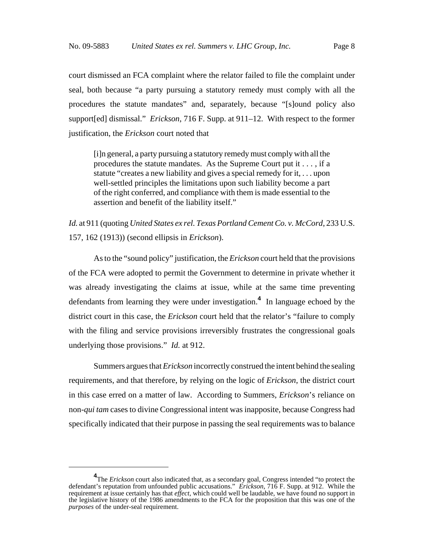court dismissed an FCA complaint where the relator failed to file the complaint under seal, both because "a party pursuing a statutory remedy must comply with all the procedures the statute mandates" and, separately, because "[s]ound policy also support[ed] dismissal." *Erickson*, 716 F. Supp. at 911–12. With respect to the former justification, the *Erickson* court noted that

[i]n general, a party pursuing a statutory remedy must comply with all the procedures the statute mandates. As the Supreme Court put it . . . , if a statute "creates a new liability and gives a special remedy for it, . . . upon well-settled principles the limitations upon such liability become a part of the right conferred, and compliance with them is made essential to the assertion and benefit of the liability itself."

*Id.* at 911 (quoting *United States ex rel. Texas Portland Cement Co. v. McCord*, 233 U.S. 157, 162 (1913)) (second ellipsis in *Erickson*).

As to the "sound policy" justification, the *Erickson* court held that the provisions of the FCA were adopted to permit the Government to determine in private whether it was already investigating the claims at issue, while at the same time preventing defendants from learning they were under investigation.**<sup>4</sup>** In language echoed by the district court in this case, the *Erickson* court held that the relator's "failure to comply with the filing and service provisions irreversibly frustrates the congressional goals underlying those provisions." *Id.* at 912.

Summers argues that *Erickson* incorrectly construed the intent behind the sealing requirements, and that therefore, by relying on the logic of *Erickson*, the district court in this case erred on a matter of law. According to Summers, *Erickson*'s reliance on non-*qui tam* cases to divine Congressional intent was inapposite, because Congress had specifically indicated that their purpose in passing the seal requirements was to balance

<sup>&</sup>lt;sup>4</sup>The *Erickson* court also indicated that, as a secondary goal, Congress intended "to protect the defendant's reputation from unfounded public accusations." *Erickson*, 716 F. Supp. at 912. While the requirement at issue certainly has that *effect*, which could well be laudable, we have found no support in the legislative history of the 1986 amendments to the FCA for the proposition that this was one of the *purposes* of the under-seal requirement.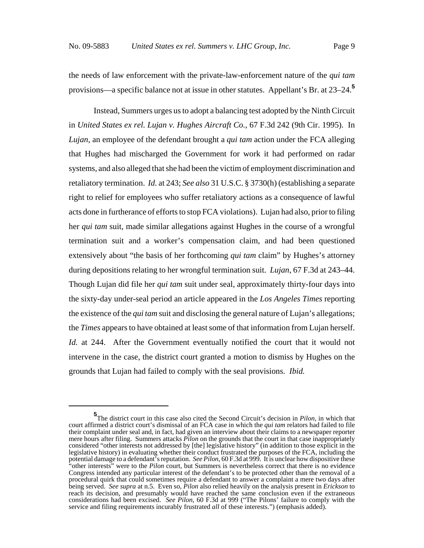the needs of law enforcement with the private-law-enforcement nature of the *qui tam* provisions—a specific balance not at issue in other statutes. Appellant's Br. at 23–24.**<sup>5</sup>**

Instead, Summers urges us to adopt a balancing test adopted by the Ninth Circuit in *United States ex rel. Lujan v. Hughes Aircraft Co.*, 67 F.3d 242 (9th Cir. 1995). In *Lujan*, an employee of the defendant brought a *qui tam* action under the FCA alleging that Hughes had mischarged the Government for work it had performed on radar systems, and also alleged that she had been the victim of employment discrimination and retaliatory termination. *Id.* at 243; *See also* 31 U.S.C. § 3730(h) (establishing a separate right to relief for employees who suffer retaliatory actions as a consequence of lawful acts done in furtherance of efforts to stop FCA violations). Lujan had also, prior to filing her *qui tam* suit, made similar allegations against Hughes in the course of a wrongful termination suit and a worker's compensation claim, and had been questioned extensively about "the basis of her forthcoming *qui tam* claim" by Hughes's attorney during depositions relating to her wrongful termination suit. *Lujan*, 67 F.3d at 243–44. Though Lujan did file her *qui tam* suit under seal, approximately thirty-four days into the sixty-day under-seal period an article appeared in the *Los Angeles Times* reporting the existence of the *qui tam* suit and disclosing the general nature of Lujan's allegations; the *Times* appears to have obtained at least some of that information from Lujan herself. *Id.* at 244. After the Government eventually notified the court that it would not intervene in the case, the district court granted a motion to dismiss by Hughes on the grounds that Lujan had failed to comply with the seal provisions. *Ibid.*

**<sup>5</sup>** The district court in this case also cited the Second Circuit's decision in *Pilon*, in which that court affirmed a district court's dismissal of an FCA case in which the *qui tam* relators had failed to file their complaint under seal and, in fact, had given an interview about their claims to a newspaper reporter mere hours after filing. Summers attacks *Pilon* on the grounds that the court in that case inappropriately considered "other interests not addressed by [the] legislative history" (in addition to those explicit in the legislative history) in evaluating whether their conduct frustrated the purposes of the FCA, including the potential damage to a defendant's reputation. *See Pilon*, 60 F.3d at 999. It is unclear how dispositive these "other interests" were to the *Pilon* court, but Summers is nevertheless correct that there is no evidence Congress intended any particular interest of the defendant's to be protected other than the removal of a procedural quirk that could sometimes require a defendant to answer a complaint a mere two days after being served. *See supra* at n.5. Even so, *Pilon* also relied heavily on the analysis present in *Erickson* to reach its decision, and presumably would have reached the same conclusion even if the extraneous considerations had been excised. *See Pilon*, 60 F.3d at 999 ("The Pilons' failure to comply with the service and filing requirements incurably frustrated *all* of these interests.") (emphasis added).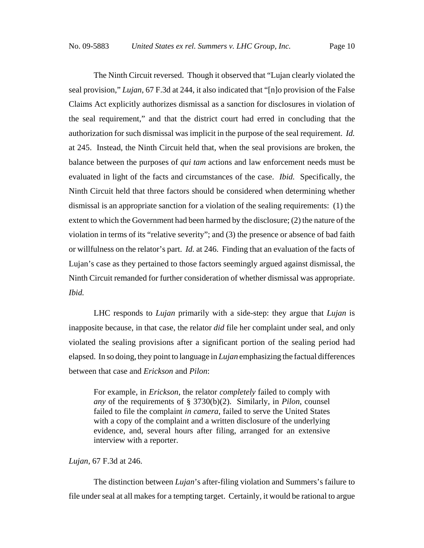The Ninth Circuit reversed. Though it observed that "Lujan clearly violated the seal provision," *Lujan*, 67 F.3d at 244, it also indicated that "[n]o provision of the False Claims Act explicitly authorizes dismissal as a sanction for disclosures in violation of the seal requirement," and that the district court had erred in concluding that the authorization for such dismissal was implicit in the purpose of the seal requirement. *Id.* at 245. Instead, the Ninth Circuit held that, when the seal provisions are broken, the balance between the purposes of *qui tam* actions and law enforcement needs must be evaluated in light of the facts and circumstances of the case. *Ibid.* Specifically, the Ninth Circuit held that three factors should be considered when determining whether dismissal is an appropriate sanction for a violation of the sealing requirements: (1) the extent to which the Government had been harmed by the disclosure; (2) the nature of the violation in terms of its "relative severity"; and (3) the presence or absence of bad faith or willfulness on the relator's part. *Id.* at 246. Finding that an evaluation of the facts of Lujan's case as they pertained to those factors seemingly argued against dismissal, the Ninth Circuit remanded for further consideration of whether dismissal was appropriate. *Ibid.*

LHC responds to *Lujan* primarily with a side-step: they argue that *Lujan* is inapposite because, in that case, the relator *did* file her complaint under seal, and only violated the sealing provisions after a significant portion of the sealing period had elapsed. In so doing, they point to language in *Lujan* emphasizing the factual differences between that case and *Erickson* and *Pilon*:

For example, in *Erickson*, the relator *completely* failed to comply with *any* of the requirements of § 3730(b)(2). Similarly, in *Pilon*, counsel failed to file the complaint *in camera*, failed to serve the United States with a copy of the complaint and a written disclosure of the underlying evidence, and, several hours after filing, arranged for an extensive interview with a reporter.

### *Lujan*, 67 F.3d at 246.

The distinction between *Lujan*'s after-filing violation and Summers's failure to file under seal at all makes for a tempting target. Certainly, it would be rational to argue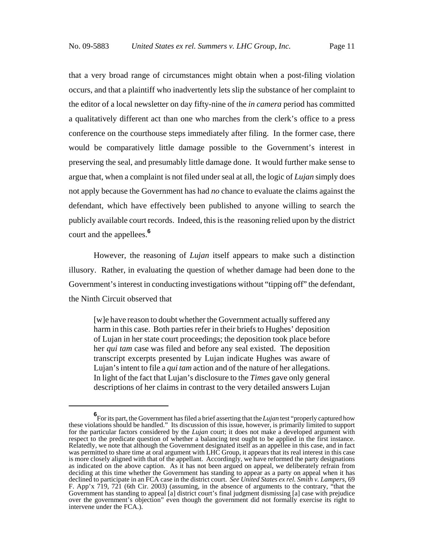that a very broad range of circumstances might obtain when a post-filing violation occurs, and that a plaintiff who inadvertently lets slip the substance of her complaint to the editor of a local newsletter on day fifty-nine of the *in camera* period has committed a qualitatively different act than one who marches from the clerk's office to a press conference on the courthouse steps immediately after filing. In the former case, there would be comparatively little damage possible to the Government's interest in preserving the seal, and presumably little damage done. It would further make sense to argue that, when a complaint is not filed under seal at all, the logic of *Lujan* simply does not apply because the Government has had *no* chance to evaluate the claims against the defendant, which have effectively been published to anyone willing to search the publicly available court records. Indeed, this is the reasoning relied upon by the district court and the appellees.**<sup>6</sup>**

However, the reasoning of *Lujan* itself appears to make such a distinction illusory. Rather, in evaluating the question of whether damage had been done to the Government's interest in conducting investigations without "tipping off" the defendant, the Ninth Circuit observed that

[w]e have reason to doubt whether the Government actually suffered any harm in this case. Both parties refer in their briefs to Hughes' deposition of Lujan in her state court proceedings; the deposition took place before her *qui tam* case was filed and before any seal existed. The deposition transcript excerpts presented by Lujan indicate Hughes was aware of Lujan's intent to file a *qui tam* action and of the nature of her allegations. In light of the fact that Lujan's disclosure to the *Times* gave only general descriptions of her claims in contrast to the very detailed answers Lujan

**<sup>6</sup>** For its part, the Government has filed a brief asserting that the *Lujan* test "properly captured how these violations should be handled." Its discussion of this issue, however, is primarily limited to support for the particular factors considered by the *Lujan* court; it does not make a developed argument with respect to the predicate question of whether a balancing test ought to be applied in the first instance. Relatedly, we note that although the Government designated itself as an appellee in this case, and in fact was permitted to share time at oral argument with LHC Group, it appears that its real interest in this case is more closely aligned with that of the appellant. Accordingly, we have reformed the party designations as indicated on the above caption. As it has not been argued on appeal, we deliberately refrain from deciding at this time whether the Government has standing to appear as a party on appeal when it has declined to participate in an FCA case in the district court. *See United States ex rel. Smith v. Lampers*, 69 F. App'x 719, 721 (6th Cir. 2003) (assuming, in the absence of arguments to the contrary, "that the Government has standing to appeal [a] district court's final judgment dismissing [a] case with prejudice over the government's objection" even though the government did not formally exercise its right to intervene under the FCA.).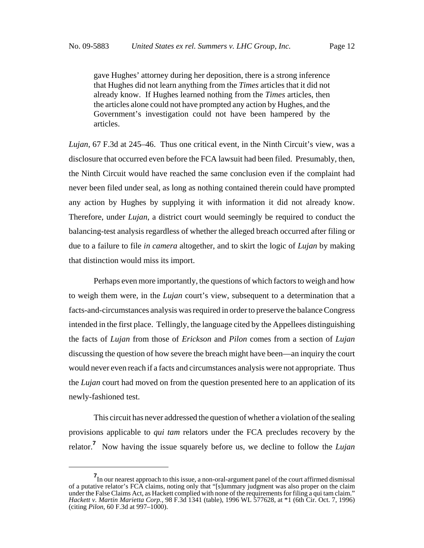gave Hughes' attorney during her deposition, there is a strong inference that Hughes did not learn anything from the *Times* articles that it did not already know. If Hughes learned nothing from the *Times* articles, then the articles alone could not have prompted any action by Hughes, and the Government's investigation could not have been hampered by the articles.

*Lujan*, 67 F.3d at 245–46. Thus one critical event, in the Ninth Circuit's view, was a disclosure that occurred even before the FCA lawsuit had been filed. Presumably, then, the Ninth Circuit would have reached the same conclusion even if the complaint had never been filed under seal, as long as nothing contained therein could have prompted any action by Hughes by supplying it with information it did not already know. Therefore, under *Lujan*, a district court would seemingly be required to conduct the balancing-test analysis regardless of whether the alleged breach occurred after filing or due to a failure to file *in camera* altogether, and to skirt the logic of *Lujan* by making that distinction would miss its import.

Perhaps even more importantly, the questions of which factors to weigh and how to weigh them were, in the *Lujan* court's view, subsequent to a determination that a facts-and-circumstances analysis was required in order to preserve the balance Congress intended in the first place. Tellingly, the language cited by the Appellees distinguishing the facts of *Lujan* from those of *Erickson* and *Pilon* comes from a section of *Lujan* discussing the question of how severe the breach might have been—an inquiry the court would never even reach if a facts and circumstances analysis were not appropriate. Thus the *Lujan* court had moved on from the question presented here to an application of its newly-fashioned test.

This circuit has never addressed the question of whether a violation of the sealing provisions applicable to *qui tam* relators under the FCA precludes recovery by the relator.**<sup>7</sup>** Now having the issue squarely before us, we decline to follow the *Lujan*

**<sup>7</sup>** In our nearest approach to this issue, a non-oral-argument panel of the court affirmed dismissal of a putative relator's FCA claims, noting only that "[s]ummary judgment was also proper on the claim under the False Claims Act, as Hackett complied with none of the requirements for filing a qui tam claim." *Hackett v. Martin Marietta Corp.*, 98 F.3d 1341 (table), 1996 WL 577628, at \*1 (6th Cir. Oct. 7, 1996) (citing *Pilon*, 60 F.3d at 997–1000).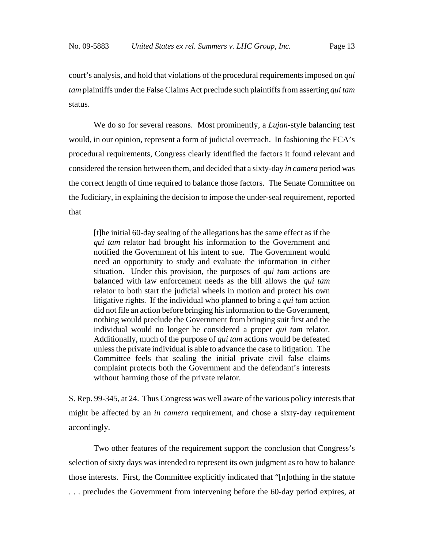court's analysis, and hold that violations of the procedural requirements imposed on *qui tam* plaintiffs under the False Claims Act preclude such plaintiffs from asserting *qui tam* status.

We do so for several reasons. Most prominently, a *Lujan*-style balancing test would, in our opinion, represent a form of judicial overreach. In fashioning the FCA's procedural requirements, Congress clearly identified the factors it found relevant and considered the tension between them, and decided that a sixty-day *in camera* period was the correct length of time required to balance those factors. The Senate Committee on the Judiciary, in explaining the decision to impose the under-seal requirement, reported that

[t]he initial 60-day sealing of the allegations has the same effect as if the *qui tam* relator had brought his information to the Government and notified the Government of his intent to sue. The Government would need an opportunity to study and evaluate the information in either situation. Under this provision, the purposes of *qui tam* actions are balanced with law enforcement needs as the bill allows the *qui tam* relator to both start the judicial wheels in motion and protect his own litigative rights. If the individual who planned to bring a *qui tam* action did not file an action before bringing his information to the Government, nothing would preclude the Government from bringing suit first and the individual would no longer be considered a proper *qui tam* relator. Additionally, much of the purpose of *qui tam* actions would be defeated unless the private individual is able to advance the case to litigation. The Committee feels that sealing the initial private civil false claims complaint protects both the Government and the defendant's interests without harming those of the private relator.

S. Rep. 99-345, at 24. Thus Congress was well aware of the various policy interests that might be affected by an *in camera* requirement, and chose a sixty-day requirement accordingly.

Two other features of the requirement support the conclusion that Congress's selection of sixty days was intended to represent its own judgment as to how to balance those interests. First, the Committee explicitly indicated that "[n]othing in the statute . . . precludes the Government from intervening before the 60-day period expires, at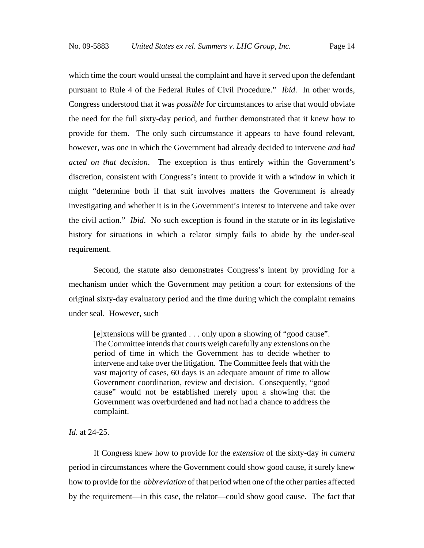which time the court would unseal the complaint and have it served upon the defendant pursuant to Rule 4 of the Federal Rules of Civil Procedure." *Ibid*. In other words, Congress understood that it was *possible* for circumstances to arise that would obviate the need for the full sixty-day period, and further demonstrated that it knew how to provide for them. The only such circumstance it appears to have found relevant, however, was one in which the Government had already decided to intervene *and had acted on that decision*. The exception is thus entirely within the Government's discretion, consistent with Congress's intent to provide it with a window in which it might "determine both if that suit involves matters the Government is already investigating and whether it is in the Government's interest to intervene and take over the civil action." *Ibid*. No such exception is found in the statute or in its legislative history for situations in which a relator simply fails to abide by the under-seal requirement.

Second, the statute also demonstrates Congress's intent by providing for a mechanism under which the Government may petition a court for extensions of the original sixty-day evaluatory period and the time during which the complaint remains under seal. However, such

[e]xtensions will be granted . . . only upon a showing of "good cause". The Committee intends that courts weigh carefully any extensions on the period of time in which the Government has to decide whether to intervene and take over the litigation. The Committee feels that with the vast majority of cases, 60 days is an adequate amount of time to allow Government coordination, review and decision. Consequently, "good cause" would not be established merely upon a showing that the Government was overburdened and had not had a chance to address the complaint.

### *Id*. at 24-25.

If Congress knew how to provide for the *extension* of the sixty-day *in camera* period in circumstances where the Government could show good cause, it surely knew how to provide for the *abbreviation* of that period when one of the other parties affected by the requirement—in this case, the relator—could show good cause. The fact that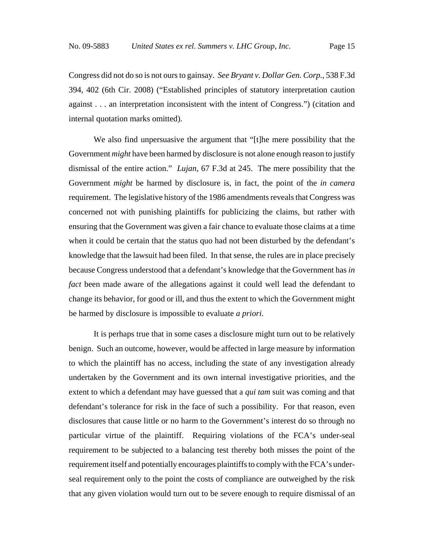Congress did not do so is not ours to gainsay. *See Bryant v. Dollar Gen. Corp.*, 538 F.3d 394, 402 (6th Cir. 2008) ("Established principles of statutory interpretation caution against . . . an interpretation inconsistent with the intent of Congress.") (citation and internal quotation marks omitted).

We also find unpersuasive the argument that "[t]he mere possibility that the Government *might* have been harmed by disclosure is not alone enough reason to justify dismissal of the entire action." *Lujan*, 67 F.3d at 245. The mere possibility that the Government *might* be harmed by disclosure is, in fact, the point of the *in camera* requirement. The legislative history of the 1986 amendments reveals that Congress was concerned not with punishing plaintiffs for publicizing the claims, but rather with ensuring that the Government was given a fair chance to evaluate those claims at a time when it could be certain that the status quo had not been disturbed by the defendant's knowledge that the lawsuit had been filed. In that sense, the rules are in place precisely because Congress understood that a defendant's knowledge that the Government has *in fact* been made aware of the allegations against it could well lead the defendant to change its behavior, for good or ill, and thus the extent to which the Government might be harmed by disclosure is impossible to evaluate *a priori*.

It is perhaps true that in some cases a disclosure might turn out to be relatively benign. Such an outcome, however, would be affected in large measure by information to which the plaintiff has no access, including the state of any investigation already undertaken by the Government and its own internal investigative priorities, and the extent to which a defendant may have guessed that a *qui tam* suit was coming and that defendant's tolerance for risk in the face of such a possibility. For that reason, even disclosures that cause little or no harm to the Government's interest do so through no particular virtue of the plaintiff. Requiring violations of the FCA's under-seal requirement to be subjected to a balancing test thereby both misses the point of the requirement itself and potentially encourages plaintiffs to comply with the FCA's underseal requirement only to the point the costs of compliance are outweighed by the risk that any given violation would turn out to be severe enough to require dismissal of an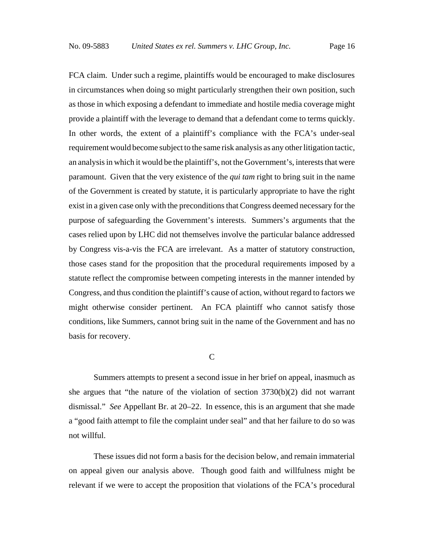FCA claim. Under such a regime, plaintiffs would be encouraged to make disclosures in circumstances when doing so might particularly strengthen their own position, such as those in which exposing a defendant to immediate and hostile media coverage might provide a plaintiff with the leverage to demand that a defendant come to terms quickly. In other words, the extent of a plaintiff's compliance with the FCA's under-seal requirement would become subject to the same risk analysis as any other litigation tactic, an analysis in which it would be the plaintiff's, not the Government's, interests that were paramount. Given that the very existence of the *qui tam* right to bring suit in the name of the Government is created by statute, it is particularly appropriate to have the right exist in a given case only with the preconditions that Congress deemed necessary for the purpose of safeguarding the Government's interests. Summers's arguments that the cases relied upon by LHC did not themselves involve the particular balance addressed by Congress vis-a-vis the FCA are irrelevant. As a matter of statutory construction, those cases stand for the proposition that the procedural requirements imposed by a statute reflect the compromise between competing interests in the manner intended by Congress, and thus condition the plaintiff's cause of action, without regard to factors we might otherwise consider pertinent. An FCA plaintiff who cannot satisfy those conditions, like Summers, cannot bring suit in the name of the Government and has no basis for recovery.

#### C

Summers attempts to present a second issue in her brief on appeal, inasmuch as she argues that "the nature of the violation of section  $3730(b)(2)$  did not warrant dismissal." *See* Appellant Br. at 20–22. In essence, this is an argument that she made a "good faith attempt to file the complaint under seal" and that her failure to do so was not willful.

These issues did not form a basis for the decision below, and remain immaterial on appeal given our analysis above. Though good faith and willfulness might be relevant if we were to accept the proposition that violations of the FCA's procedural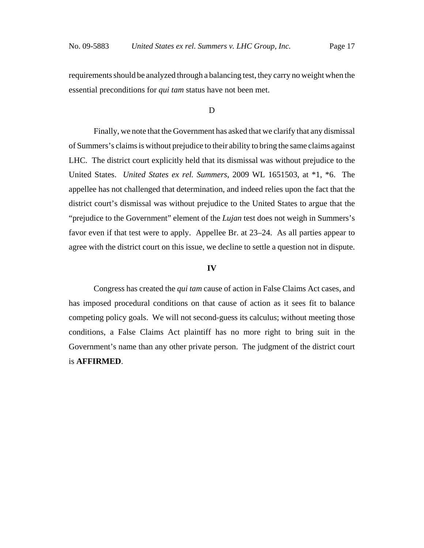requirements should be analyzed through a balancing test, they carry no weight when the essential preconditions for *qui tam* status have not been met.

### D

Finally, we note that the Government has asked that we clarify that any dismissal of Summers's claims is without prejudice to their ability to bring the same claims against LHC. The district court explicitly held that its dismissal was without prejudice to the United States. *United States ex rel. Summers*, 2009 WL 1651503, at \*1, \*6. The appellee has not challenged that determination, and indeed relies upon the fact that the district court's dismissal was without prejudice to the United States to argue that the "prejudice to the Government" element of the *Lujan* test does not weigh in Summers's favor even if that test were to apply. Appellee Br. at 23–24. As all parties appear to agree with the district court on this issue, we decline to settle a question not in dispute.

#### **IV**

Congress has created the *qui tam* cause of action in False Claims Act cases, and has imposed procedural conditions on that cause of action as it sees fit to balance competing policy goals. We will not second-guess its calculus; without meeting those conditions, a False Claims Act plaintiff has no more right to bring suit in the Government's name than any other private person. The judgment of the district court is **AFFIRMED**.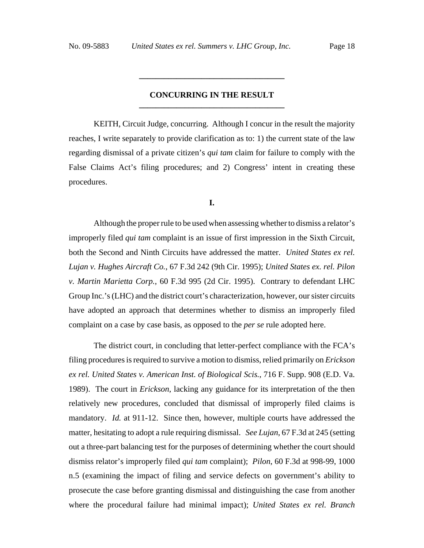### **CONCURRING IN THE RESULT \_\_\_\_\_\_\_\_\_\_\_\_\_\_\_\_\_\_\_\_\_\_\_\_\_\_\_\_\_\_\_\_\_\_\_**

**\_\_\_\_\_\_\_\_\_\_\_\_\_\_\_\_\_\_\_\_\_\_\_\_\_\_\_\_\_\_\_\_\_\_\_**

KEITH, Circuit Judge, concurring. Although I concur in the result the majority reaches, I write separately to provide clarification as to: 1) the current state of the law regarding dismissal of a private citizen's *qui tam* claim for failure to comply with the False Claims Act's filing procedures; and 2) Congress' intent in creating these procedures.

### **I.**

Although the proper rule to be used when assessing whether to dismiss a relator's improperly filed *qui tam* complaint is an issue of first impression in the Sixth Circuit, both the Second and Ninth Circuits have addressed the matter. *United States ex rel. Lujan v. Hughes Aircraft Co.*, 67 F.3d 242 (9th Cir. 1995); *United States ex. rel. Pilon v. Martin Marietta Corp.*, 60 F.3d 995 (2d Cir. 1995). Contrary to defendant LHC Group Inc.'s (LHC) and the district court's characterization, however, our sister circuits have adopted an approach that determines whether to dismiss an improperly filed complaint on a case by case basis, as opposed to the *per se* rule adopted here.

The district court, in concluding that letter-perfect compliance with the FCA's filing procedures is required to survive a motion to dismiss, relied primarily on *Erickson ex rel. United States v. American Inst. of Biological Scis.*, 716 F. Supp. 908 (E.D. Va. 1989). The court in *Erickson*, lacking any guidance for its interpretation of the then relatively new procedures, concluded that dismissal of improperly filed claims is mandatory. *Id.* at 911-12. Since then, however, multiple courts have addressed the matter, hesitating to adopt a rule requiring dismissal. *See Lujan*, 67 F.3d at 245 (setting out a three-part balancing test for the purposes of determining whether the court should dismiss relator's improperly filed *qui tam* complaint); *Pilon*, 60 F.3d at 998-99, 1000 n.5 (examining the impact of filing and service defects on government's ability to prosecute the case before granting dismissal and distinguishing the case from another where the procedural failure had minimal impact); *United States ex rel. Branch*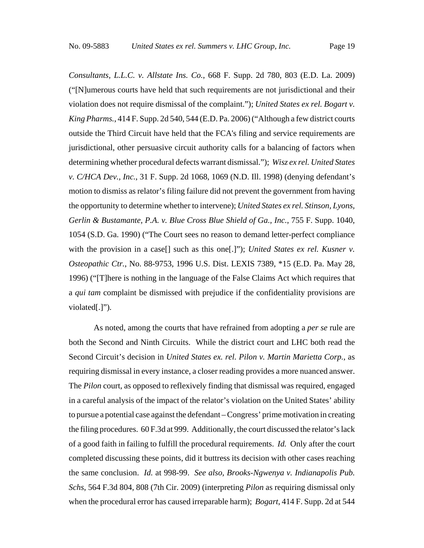*Consultants, L.L.C. v. Allstate Ins. Co.*, 668 F. Supp. 2d 780, 803 (E.D. La. 2009) ("[N]umerous courts have held that such requirements are not jurisdictional and their violation does not require dismissal of the complaint."); *United States ex rel. Bogart v. King Pharms.*, 414 F. Supp. 2d 540, 544 (E.D. Pa. 2006) ("Although a few district courts outside the Third Circuit have held that the FCA's filing and service requirements are jurisdictional, other persuasive circuit authority calls for a balancing of factors when determining whether procedural defects warrant dismissal."); *Wisz ex rel. United States v. C/HCA Dev., Inc.*, 31 F. Supp. 2d 1068, 1069 (N.D. Ill. 1998) (denying defendant's motion to dismiss as relator's filing failure did not prevent the government from having the opportunity to determine whether to intervene); *United States ex rel. Stinson, Lyons, Gerlin & Bustamante, P.A. v. Blue Cross Blue Shield of Ga., Inc.*, 755 F. Supp. 1040, 1054 (S.D. Ga. 1990) ("The Court sees no reason to demand letter-perfect compliance with the provision in a case<sup>[]</sup> such as this one<sup>[1]</sup>; *United States ex rel. Kusner v. Osteopathic Ctr.*, No. 88-9753, 1996 U.S. Dist. LEXIS 7389, \*15 (E.D. Pa. May 28, 1996) ("[T]here is nothing in the language of the False Claims Act which requires that a *qui tam* complaint be dismissed with prejudice if the confidentiality provisions are violated[.]")*.*

As noted, among the courts that have refrained from adopting a *per se* rule are both the Second and Ninth Circuits. While the district court and LHC both read the Second Circuit's decision in *United States ex. rel. Pilon v. Martin Marietta Corp.*, as requiring dismissal in every instance, a closer reading provides a more nuanced answer. The *Pilon* court, as opposed to reflexively finding that dismissal was required, engaged in a careful analysis of the impact of the relator's violation on the United States' ability to pursue a potential case against the defendant – Congress' prime motivation in creating the filing procedures. 60 F.3d at 999. Additionally, the court discussed the relator's lack of a good faith in failing to fulfill the procedural requirements. *Id.* Only after the court completed discussing these points, did it buttress its decision with other cases reaching the same conclusion. *Id.* at 998-99. *See also, Brooks-Ngwenya v. Indianapolis Pub. Schs*, 564 F.3d 804, 808 (7th Cir. 2009) (interpreting *Pilon* as requiring dismissal only when the procedural error has caused irreparable harm); *Bogart*, 414 F. Supp. 2d at 544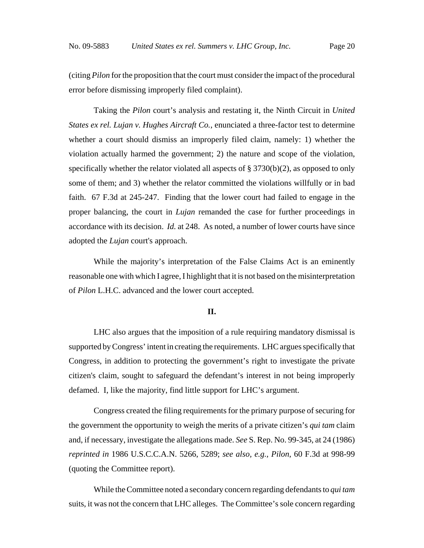(citing *Pilon* for the proposition that the court must consider the impact of the procedural error before dismissing improperly filed complaint).

Taking the *Pilon* court's analysis and restating it, the Ninth Circuit in *United States ex rel. Lujan v. Hughes Aircraft Co.*, enunciated a three-factor test to determine whether a court should dismiss an improperly filed claim, namely: 1) whether the violation actually harmed the government; 2) the nature and scope of the violation, specifically whether the relator violated all aspects of § 3730(b)(2), as opposed to only some of them; and 3) whether the relator committed the violations willfully or in bad faith. 67 F.3d at 245-247. Finding that the lower court had failed to engage in the proper balancing, the court in *Lujan* remanded the case for further proceedings in accordance with its decision. *Id.* at 248. As noted, a number of lower courts have since adopted the *Lujan* court's approach.

While the majority's interpretation of the False Claims Act is an eminently reasonable one with which I agree, I highlight that it is not based on the misinterpretation of *Pilon* L.H.C. advanced and the lower court accepted.

#### **II.**

LHC also argues that the imposition of a rule requiring mandatory dismissal is supported by Congress' intent in creating the requirements. LHC argues specifically that Congress, in addition to protecting the government's right to investigate the private citizen's claim, sought to safeguard the defendant's interest in not being improperly defamed. I, like the majority, find little support for LHC's argument.

Congress created the filing requirements for the primary purpose of securing for the government the opportunity to weigh the merits of a private citizen's *qui tam* claim and, if necessary, investigate the allegations made. *See* S. Rep. No. 99-345, at 24 (1986) *reprinted in* 1986 U.S.C.C.A.N. 5266, 5289; *see also, e.g., Pilon*, 60 F.3d at 998-99 (quoting the Committee report).

While the Committee noted a secondary concern regarding defendants to *qui tam* suits, it was not the concern that LHC alleges. The Committee's sole concern regarding